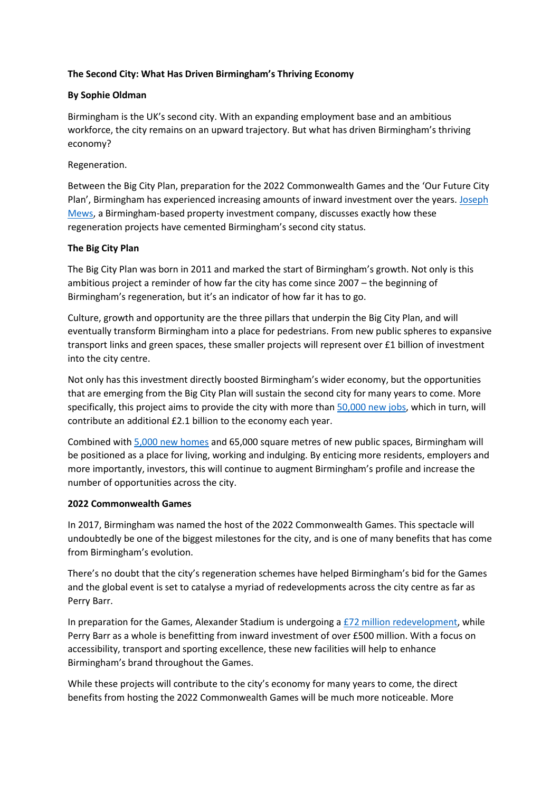# **The Second City: What Has Driven Birmingham's Thriving Economy**

## **By Sophie Oldman**

Birmingham is the UK's second city. With an expanding employment base and an ambitious workforce, the city remains on an upward trajectory. But what has driven Birmingham's thriving economy?

Regeneration.

Between the Big City Plan, preparation for the 2022 Commonwealth Games and the 'Our Future City Plan', Birmingham has experienced increasing amounts of inward investment over the years. Joseph [Mews,](https://joseph-mews.com/?utm_medium=organic&utm_source=online%20feature&utm_campaign=ahead%20of%20the%20market%20&utm_content=bcu%20cbs%20backlink) a Birmingham-based property investment company, discusses exactly how these regeneration projects have cemented Birmingham's second city status.

#### **The Big City Plan**

The Big City Plan was born in 2011 and marked the start of Birmingham's growth. Not only is this ambitious project a reminder of how far the city has come since 2007 – the beginning of Birmingham's regeneration, but it's an indicator of how far it has to go.

Culture, growth and opportunity are the three pillars that underpin the Big City Plan, and will eventually transform Birmingham into a place for pedestrians. From new public spheres to expansive transport links and green spaces, these smaller projects will represent over £1 billion of investment into the city centre.

Not only has this investment directly boosted Birmingham's wider economy, but the opportunities that are emerging from the Big City Plan will sustain the second city for many years to come. More specifically, this project aims to provide the city with more than [50,000 new jobs,](https://joseph-mews.com/birmingham-property-investment/why-invest-in-birmingham-property/?utm_medium=organic&utm_source=online%20feature&utm_campaign=ahead%20of%20the%20market%20&utm_content=bcu%20cbs%20backlink) which in turn, will contribute an additional £2.1 billion to the economy each year.

Combined with [5,000 new homes](https://www.birmingham.gov.uk/downloads/download/214/big_city_plan) and 65,000 square metres of new public spaces, Birmingham will be positioned as a place for living, working and indulging. By enticing more residents, employers and more importantly, investors, this will continue to augment Birmingham's profile and increase the number of opportunities across the city.

#### **2022 Commonwealth Games**

In 2017, Birmingham was named the host of the 2022 Commonwealth Games. This spectacle will undoubtedly be one of the biggest milestones for the city, and is one of many benefits that has come from Birmingham's evolution.

There's no doubt that the city's regeneration schemes have helped Birmingham's bid for the Games and the global event is set to catalyse a myriad of redevelopments across the city centre as far as Perry Barr.

In preparation for the Games, Alexander Stadium is undergoing a [£72 million redevelopment,](https://www.bcu.ac.uk/built-environment/news-events/blogs/what-do-the-2022-commonwealth-games-mean-for-birmingham) while Perry Barr as a whole is benefitting from inward investment of over £500 million. With a focus on accessibility, transport and sporting excellence, these new facilities will help to enhance Birmingham's brand throughout the Games.

While these projects will contribute to the city's economy for many years to come, the direct benefits from hosting the 2022 Commonwealth Games will be much more noticeable. More